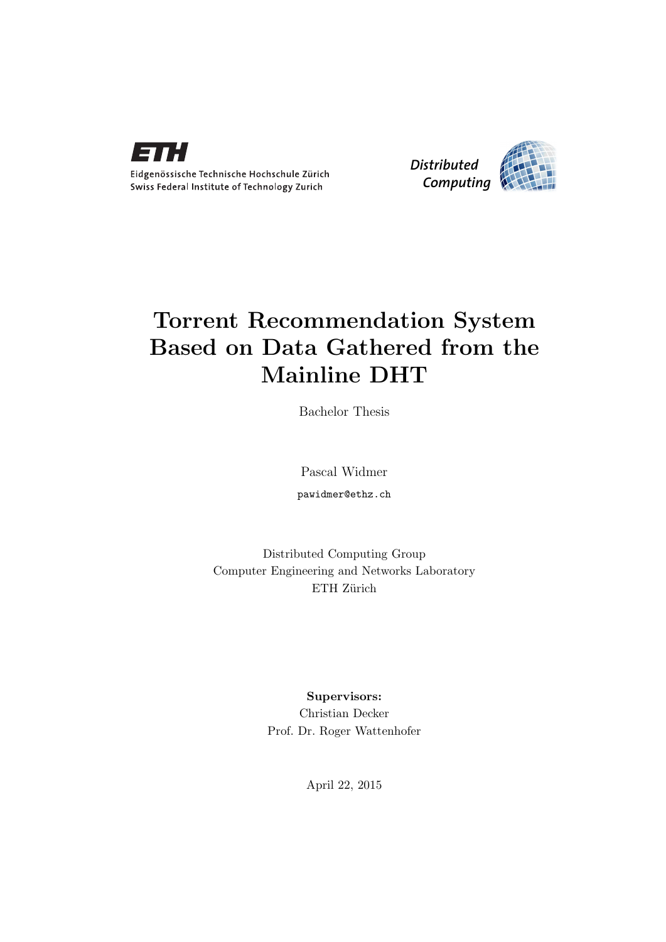



# Torrent Recommendation System Based on Data Gathered from the Mainline DHT

Bachelor Thesis

Pascal Widmer pawidmer@ethz.ch

Distributed Computing Group Computer Engineering and Networks Laboratory ETH Zürich

> Supervisors: Christian Decker Prof. Dr. Roger Wattenhofer

> > April 22, 2015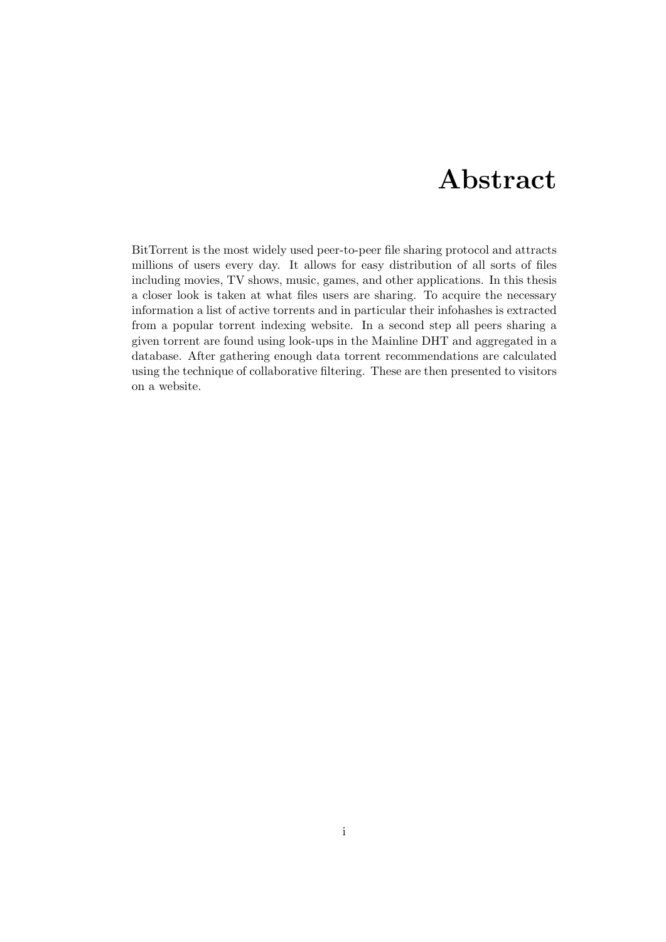# Abstract

<span id="page-1-0"></span>BitTorrent is the most widely used peer-to-peer file sharing protocol and attracts millions of users every day. It allows for easy distribution of all sorts of files including movies, TV shows, music, games, and other applications. In this thesis a closer look is taken at what files users are sharing. To acquire the necessary information a list of active torrents and in particular their infohashes is extracted from a popular torrent indexing website. In a second step all peers sharing a given torrent are found using look-ups in the Mainline DHT and aggregated in a database. After gathering enough data torrent recommendations are calculated using the technique of collaborative filtering. These are then presented to visitors on a website.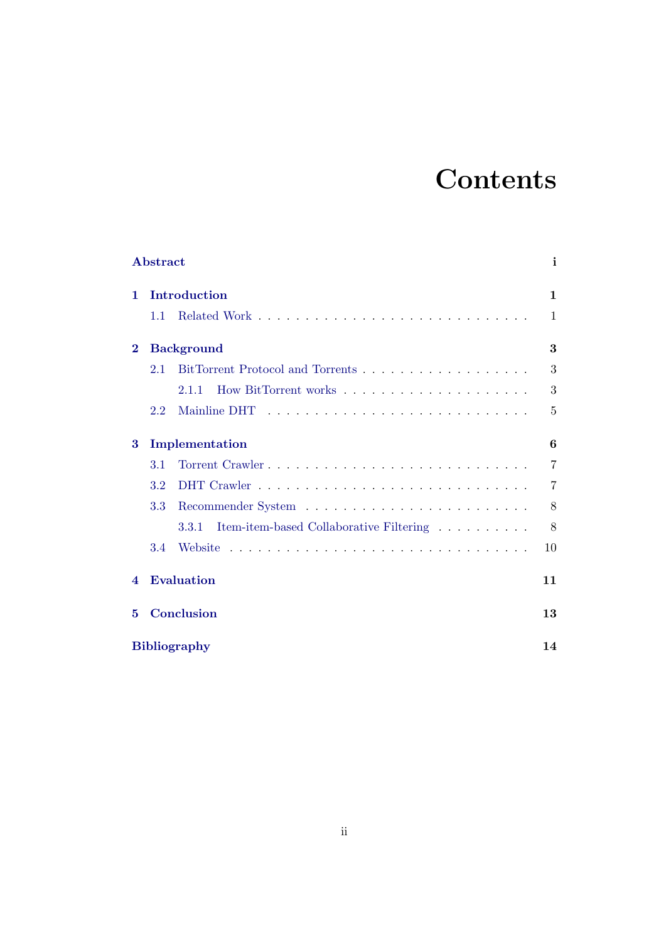# **Contents**

|                        | Abstract                                         | i  |
|------------------------|--------------------------------------------------|----|
| 1                      | Introduction                                     | 1  |
|                        | 1.1                                              | 1  |
| $\bf{2}$               | <b>Background</b>                                | 3  |
|                        | 2.1                                              | 3  |
|                        | 2.1.1                                            | 3  |
|                        | 2.2<br>Mainline DHT                              | 5  |
| 3                      | Implementation                                   | 6  |
|                        | 3.1                                              | 7  |
|                        | 3.2                                              | 7  |
|                        | 3.3                                              | 8  |
|                        | Item-item-based Collaborative Filtering<br>3.3.1 | 8  |
|                        | 3.4<br>Website                                   | 10 |
| $\boldsymbol{\Lambda}$ | <b>Evaluation</b>                                | 11 |
| 5                      | Conclusion                                       | 13 |
| <b>Bibliography</b>    |                                                  | 14 |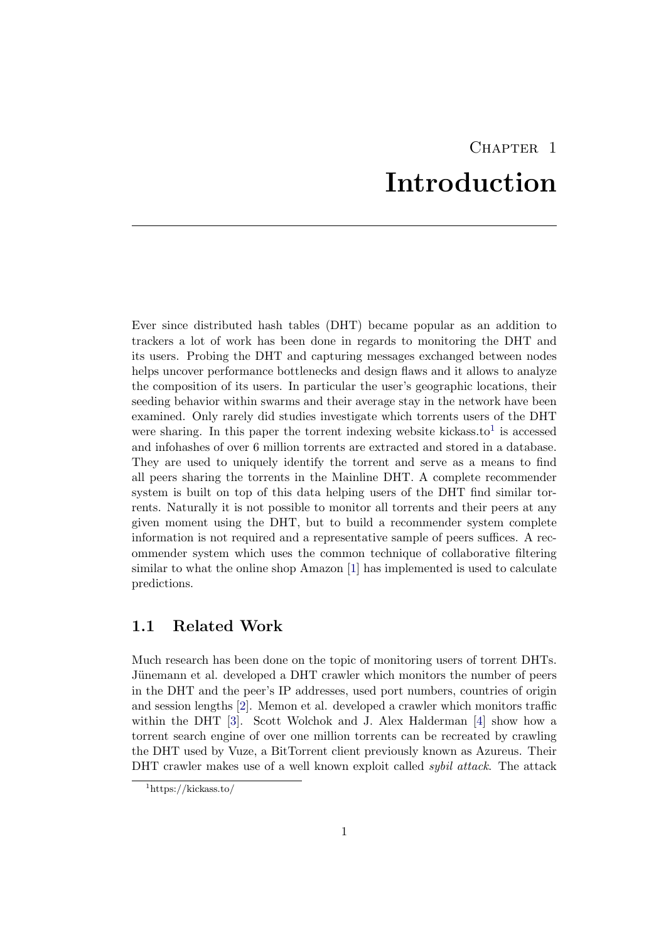# CHAPTER<sub>1</sub> Introduction

<span id="page-3-0"></span>Ever since distributed hash tables (DHT) became popular as an addition to trackers a lot of work has been done in regards to monitoring the DHT and its users. Probing the DHT and capturing messages exchanged between nodes helps uncover performance bottlenecks and design flaws and it allows to analyze the composition of its users. In particular the user's geographic locations, their seeding behavior within swarms and their average stay in the network have been examined. Only rarely did studies investigate which torrents users of the DHT were sharing. In this paper the torrent indexing website kickass.to<sup>[1](#page-3-2)</sup> is accessed and infohashes of over 6 million torrents are extracted and stored in a database. They are used to uniquely identify the torrent and serve as a means to find all peers sharing the torrents in the Mainline DHT. A complete recommender system is built on top of this data helping users of the DHT find similar torrents. Naturally it is not possible to monitor all torrents and their peers at any given moment using the DHT, but to build a recommender system complete information is not required and a representative sample of peers suffices. A recommender system which uses the common technique of collaborative filtering similar to what the online shop Amazon [\[1\]](#page-16-1) has implemented is used to calculate predictions.

## <span id="page-3-1"></span>1.1 Related Work

Much research has been done on the topic of monitoring users of torrent DHTs. Jünemann et al. developed a DHT crawler which monitors the number of peers in the DHT and the peer's IP addresses, used port numbers, countries of origin and session lengths [\[2\]](#page-16-2). Memon et al. developed a crawler which monitors traffic within the DHT [\[3\]](#page-16-3). Scott Wolchok and J. Alex Halderman [\[4\]](#page-16-4) show how a torrent search engine of over one million torrents can be recreated by crawling the DHT used by Vuze, a BitTorrent client previously known as Azureus. Their DHT crawler makes use of a well known exploit called *subil attack*. The attack

<span id="page-3-2"></span><sup>1</sup>https://kickass.to/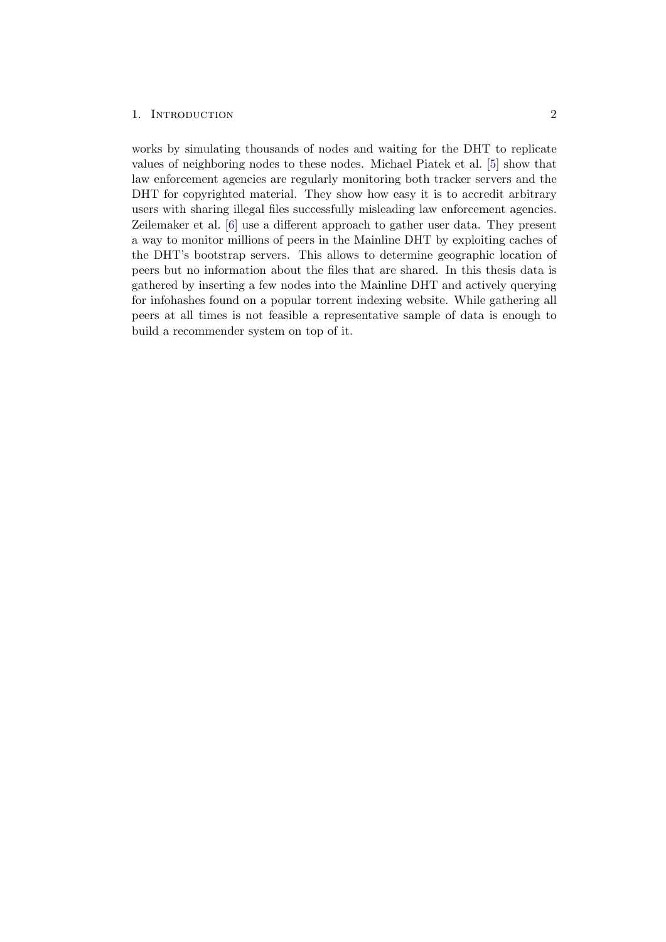### 1. INTRODUCTION 2

works by simulating thousands of nodes and waiting for the DHT to replicate values of neighboring nodes to these nodes. Michael Piatek et al. [\[5\]](#page-16-5) show that law enforcement agencies are regularly monitoring both tracker servers and the DHT for copyrighted material. They show how easy it is to accredit arbitrary users with sharing illegal files successfully misleading law enforcement agencies. Zeilemaker et al. [\[6\]](#page-16-6) use a different approach to gather user data. They present a way to monitor millions of peers in the Mainline DHT by exploiting caches of the DHT's bootstrap servers. This allows to determine geographic location of peers but no information about the files that are shared. In this thesis data is gathered by inserting a few nodes into the Mainline DHT and actively querying for infohashes found on a popular torrent indexing website. While gathering all peers at all times is not feasible a representative sample of data is enough to build a recommender system on top of it.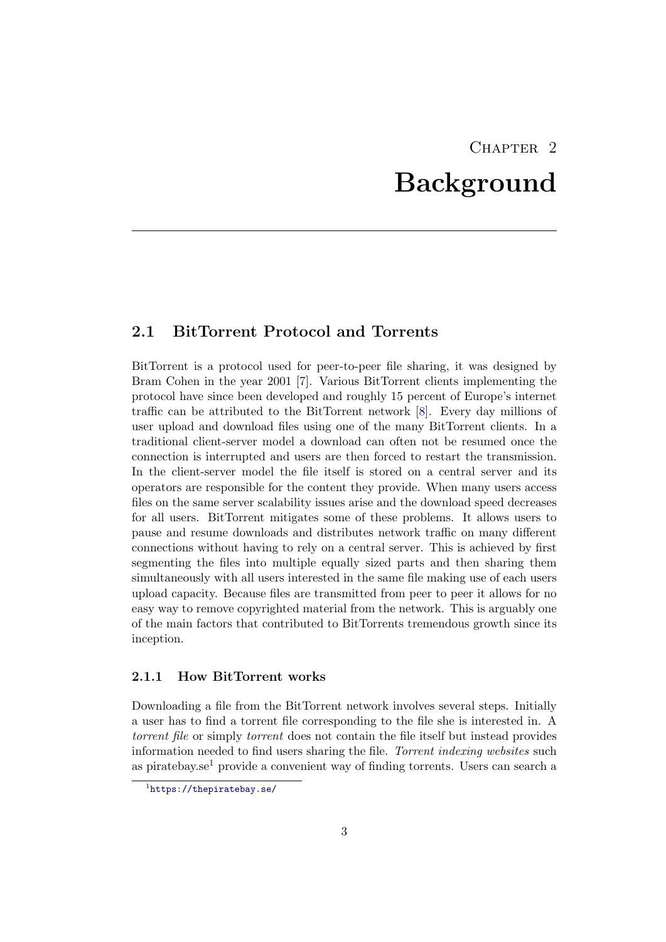# CHAPTER<sub>2</sub> Background

## <span id="page-5-1"></span><span id="page-5-0"></span>2.1 BitTorrent Protocol and Torrents

BitTorrent is a protocol used for peer-to-peer file sharing, it was designed by Bram Cohen in the year 2001 [\[7\]](#page-16-7). Various BitTorrent clients implementing the protocol have since been developed and roughly 15 percent of Europe's internet traffic can be attributed to the BitTorrent network [\[8\]](#page-16-8). Every day millions of user upload and download files using one of the many BitTorrent clients. In a traditional client-server model a download can often not be resumed once the connection is interrupted and users are then forced to restart the transmission. In the client-server model the file itself is stored on a central server and its operators are responsible for the content they provide. When many users access files on the same server scalability issues arise and the download speed decreases for all users. BitTorrent mitigates some of these problems. It allows users to pause and resume downloads and distributes network traffic on many different connections without having to rely on a central server. This is achieved by first segmenting the files into multiple equally sized parts and then sharing them simultaneously with all users interested in the same file making use of each users upload capacity. Because files are transmitted from peer to peer it allows for no easy way to remove copyrighted material from the network. This is arguably one of the main factors that contributed to BitTorrents tremendous growth since its inception.

### <span id="page-5-2"></span>2.1.1 How BitTorrent works

Downloading a file from the BitTorrent network involves several steps. Initially a user has to find a torrent file corresponding to the file she is interested in. A torrent file or simply torrent does not contain the file itself but instead provides information needed to find users sharing the file. Torrent indexing websites such as piratebay.se<sup>[1](#page-5-3)</sup> provide a convenient way of finding torrents. Users can search a

<span id="page-5-3"></span><sup>1</sup> <https://thepiratebay.se/>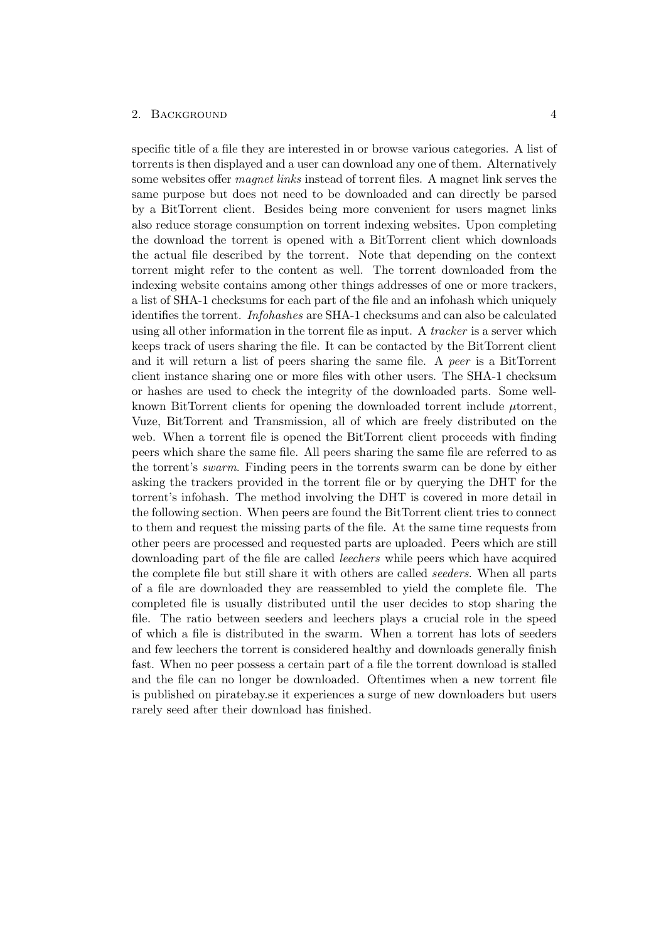#### 2. BACKGROUND 4

specific title of a file they are interested in or browse various categories. A list of torrents is then displayed and a user can download any one of them. Alternatively some websites offer magnet links instead of torrent files. A magnet link serves the same purpose but does not need to be downloaded and can directly be parsed by a BitTorrent client. Besides being more convenient for users magnet links also reduce storage consumption on torrent indexing websites. Upon completing the download the torrent is opened with a BitTorrent client which downloads the actual file described by the torrent. Note that depending on the context torrent might refer to the content as well. The torrent downloaded from the indexing website contains among other things addresses of one or more trackers, a list of SHA-1 checksums for each part of the file and an infohash which uniquely identifies the torrent. Infohashes are SHA-1 checksums and can also be calculated using all other information in the torrent file as input. A tracker is a server which keeps track of users sharing the file. It can be contacted by the BitTorrent client and it will return a list of peers sharing the same file. A peer is a BitTorrent client instance sharing one or more files with other users. The SHA-1 checksum or hashes are used to check the integrity of the downloaded parts. Some wellknown BitTorrent clients for opening the downloaded torrent include  $\mu$ torrent, Vuze, BitTorrent and Transmission, all of which are freely distributed on the web. When a torrent file is opened the BitTorrent client proceeds with finding peers which share the same file. All peers sharing the same file are referred to as the torrent's swarm. Finding peers in the torrents swarm can be done by either asking the trackers provided in the torrent file or by querying the DHT for the torrent's infohash. The method involving the DHT is covered in more detail in the following section. When peers are found the BitTorrent client tries to connect to them and request the missing parts of the file. At the same time requests from other peers are processed and requested parts are uploaded. Peers which are still downloading part of the file are called leechers while peers which have acquired the complete file but still share it with others are called seeders. When all parts of a file are downloaded they are reassembled to yield the complete file. The completed file is usually distributed until the user decides to stop sharing the file. The ratio between seeders and leechers plays a crucial role in the speed of which a file is distributed in the swarm. When a torrent has lots of seeders and few leechers the torrent is considered healthy and downloads generally finish fast. When no peer possess a certain part of a file the torrent download is stalled and the file can no longer be downloaded. Oftentimes when a new torrent file is published on piratebay.se it experiences a surge of new downloaders but users rarely seed after their download has finished.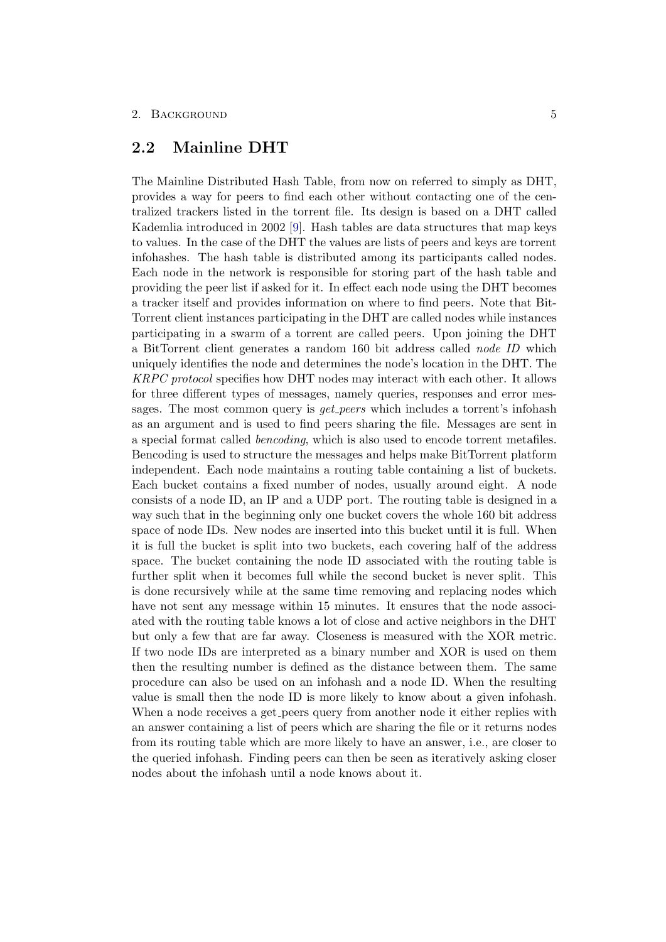### 2. BACKGROUND 5

## <span id="page-7-0"></span>2.2 Mainline DHT

The Mainline Distributed Hash Table, from now on referred to simply as DHT, provides a way for peers to find each other without contacting one of the centralized trackers listed in the torrent file. Its design is based on a DHT called Kademlia introduced in 2002 [\[9\]](#page-16-9). Hash tables are data structures that map keys to values. In the case of the DHT the values are lists of peers and keys are torrent infohashes. The hash table is distributed among its participants called nodes. Each node in the network is responsible for storing part of the hash table and providing the peer list if asked for it. In effect each node using the DHT becomes a tracker itself and provides information on where to find peers. Note that Bit-Torrent client instances participating in the DHT are called nodes while instances participating in a swarm of a torrent are called peers. Upon joining the DHT a BitTorrent client generates a random 160 bit address called node ID which uniquely identifies the node and determines the node's location in the DHT. The KRPC protocol specifies how DHT nodes may interact with each other. It allows for three different types of messages, namely queries, responses and error messages. The most common query is *get peers* which includes a torrent's infohash as an argument and is used to find peers sharing the file. Messages are sent in a special format called bencoding, which is also used to encode torrent metafiles. Bencoding is used to structure the messages and helps make BitTorrent platform independent. Each node maintains a routing table containing a list of buckets. Each bucket contains a fixed number of nodes, usually around eight. A node consists of a node ID, an IP and a UDP port. The routing table is designed in a way such that in the beginning only one bucket covers the whole 160 bit address space of node IDs. New nodes are inserted into this bucket until it is full. When it is full the bucket is split into two buckets, each covering half of the address space. The bucket containing the node ID associated with the routing table is further split when it becomes full while the second bucket is never split. This is done recursively while at the same time removing and replacing nodes which have not sent any message within 15 minutes. It ensures that the node associated with the routing table knows a lot of close and active neighbors in the DHT but only a few that are far away. Closeness is measured with the XOR metric. If two node IDs are interpreted as a binary number and XOR is used on them then the resulting number is defined as the distance between them. The same procedure can also be used on an infohash and a node ID. When the resulting value is small then the node ID is more likely to know about a given infohash. When a node receives a get peers query from another node it either replies with an answer containing a list of peers which are sharing the file or it returns nodes from its routing table which are more likely to have an answer, i.e., are closer to the queried infohash. Finding peers can then be seen as iteratively asking closer nodes about the infohash until a node knows about it.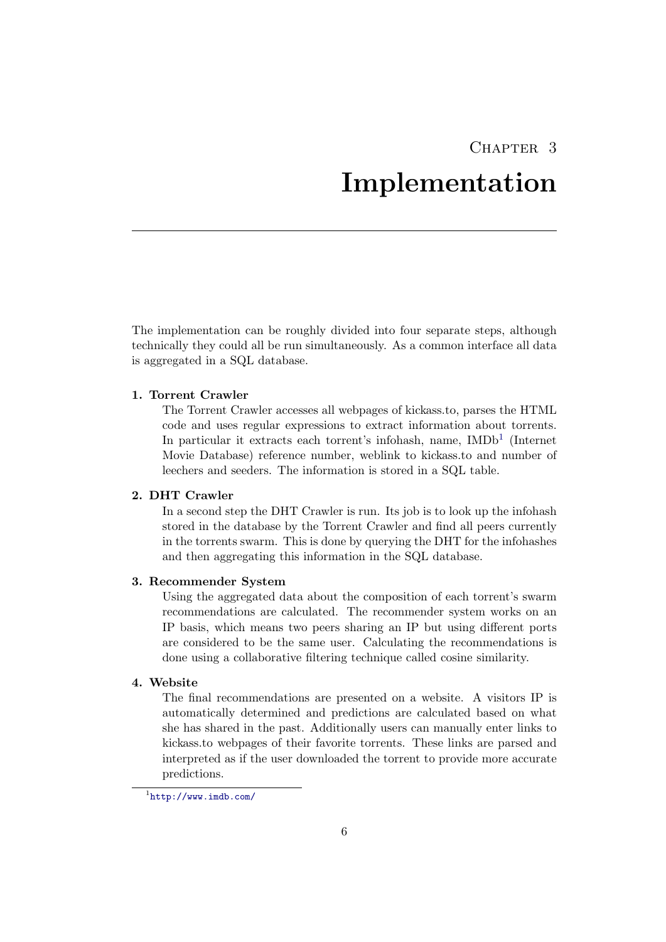## CHAPTER 3

# Implementation

<span id="page-8-0"></span>The implementation can be roughly divided into four separate steps, although technically they could all be run simultaneously. As a common interface all data is aggregated in a SQL database.

### 1. Torrent Crawler

The Torrent Crawler accesses all webpages of kickass.to, parses the HTML code and uses regular expressions to extract information about torrents. In particular it extracts each torrent's infohash, name, IMDb<sup>[1](#page-8-1)</sup> (Internet Movie Database) reference number, weblink to kickass.to and number of leechers and seeders. The information is stored in a SQL table.

### 2. DHT Crawler

In a second step the DHT Crawler is run. Its job is to look up the infohash stored in the database by the Torrent Crawler and find all peers currently in the torrents swarm. This is done by querying the DHT for the infohashes and then aggregating this information in the SQL database.

### 3. Recommender System

Using the aggregated data about the composition of each torrent's swarm recommendations are calculated. The recommender system works on an IP basis, which means two peers sharing an IP but using different ports are considered to be the same user. Calculating the recommendations is done using a collaborative filtering technique called cosine similarity.

### 4. Website

The final recommendations are presented on a website. A visitors IP is automatically determined and predictions are calculated based on what she has shared in the past. Additionally users can manually enter links to kickass.to webpages of their favorite torrents. These links are parsed and interpreted as if the user downloaded the torrent to provide more accurate predictions.

<span id="page-8-1"></span><sup>1</sup> <http://www.imdb.com/>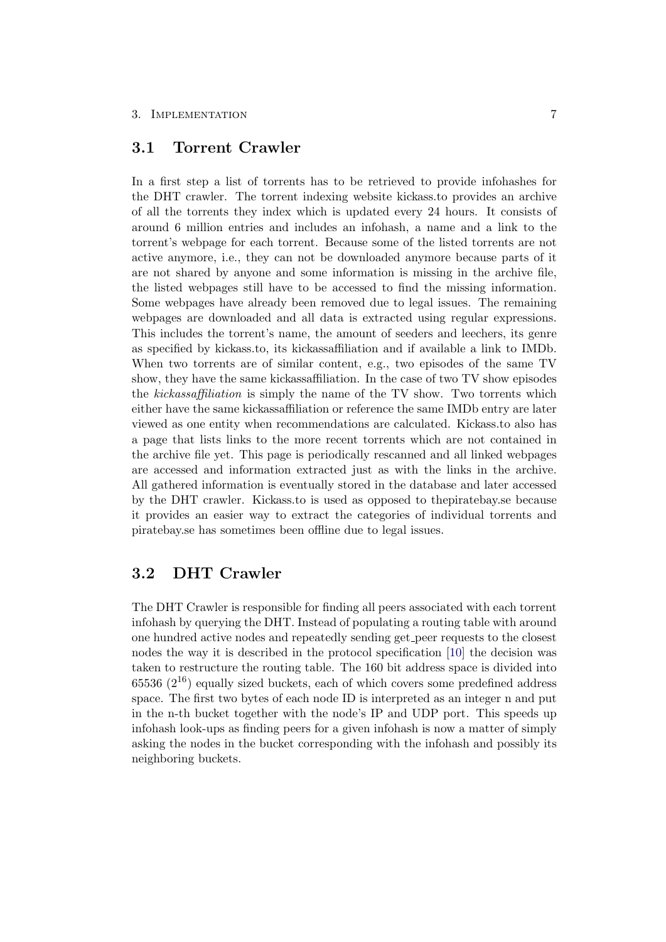### 3. IMPLEMENTATION 7

### <span id="page-9-0"></span>3.1 Torrent Crawler

In a first step a list of torrents has to be retrieved to provide infohashes for the DHT crawler. The torrent indexing website kickass.to provides an archive of all the torrents they index which is updated every 24 hours. It consists of around 6 million entries and includes an infohash, a name and a link to the torrent's webpage for each torrent. Because some of the listed torrents are not active anymore, i.e., they can not be downloaded anymore because parts of it are not shared by anyone and some information is missing in the archive file, the listed webpages still have to be accessed to find the missing information. Some webpages have already been removed due to legal issues. The remaining webpages are downloaded and all data is extracted using regular expressions. This includes the torrent's name, the amount of seeders and leechers, its genre as specified by kickass.to, its kickassaffiliation and if available a link to IMDb. When two torrents are of similar content, e.g., two episodes of the same TV show, they have the same kickassaffiliation. In the case of two TV show episodes the kickassaffiliation is simply the name of the TV show. Two torrents which either have the same kickassaffiliation or reference the same IMDb entry are later viewed as one entity when recommendations are calculated. Kickass.to also has a page that lists links to the more recent torrents which are not contained in the archive file yet. This page is periodically rescanned and all linked webpages are accessed and information extracted just as with the links in the archive. All gathered information is eventually stored in the database and later accessed by the DHT crawler. Kickass.to is used as opposed to thepiratebay.se because it provides an easier way to extract the categories of individual torrents and piratebay.se has sometimes been offline due to legal issues.

## <span id="page-9-1"></span>3.2 DHT Crawler

The DHT Crawler is responsible for finding all peers associated with each torrent infohash by querying the DHT. Instead of populating a routing table with around one hundred active nodes and repeatedly sending get peer requests to the closest nodes the way it is described in the protocol specification [\[10\]](#page-16-10) the decision was taken to restructure the routing table. The 160 bit address space is divided into  $65536$  ( $2^{16}$ ) equally sized buckets, each of which covers some predefined address space. The first two bytes of each node ID is interpreted as an integer n and put in the n-th bucket together with the node's IP and UDP port. This speeds up infohash look-ups as finding peers for a given infohash is now a matter of simply asking the nodes in the bucket corresponding with the infohash and possibly its neighboring buckets.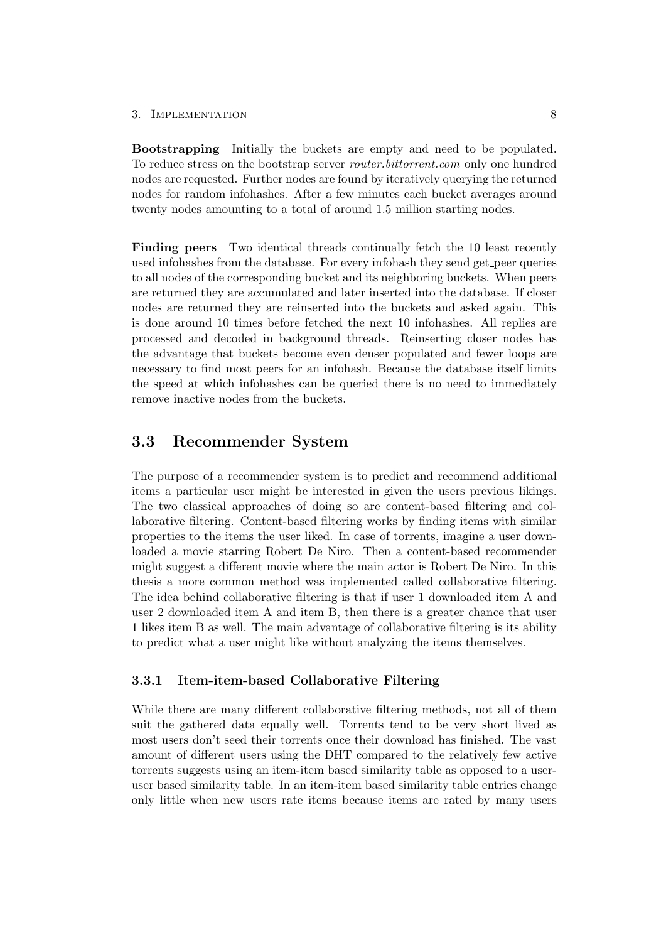#### 3. IMPLEMENTATION 8

Bootstrapping Initially the buckets are empty and need to be populated. To reduce stress on the bootstrap server router.bittorrent.com only one hundred nodes are requested. Further nodes are found by iteratively querying the returned nodes for random infohashes. After a few minutes each bucket averages around twenty nodes amounting to a total of around 1.5 million starting nodes.

Finding peers Two identical threads continually fetch the 10 least recently used infohashes from the database. For every infohash they send get peer queries to all nodes of the corresponding bucket and its neighboring buckets. When peers are returned they are accumulated and later inserted into the database. If closer nodes are returned they are reinserted into the buckets and asked again. This is done around 10 times before fetched the next 10 infohashes. All replies are processed and decoded in background threads. Reinserting closer nodes has the advantage that buckets become even denser populated and fewer loops are necessary to find most peers for an infohash. Because the database itself limits the speed at which infohashes can be queried there is no need to immediately remove inactive nodes from the buckets.

## <span id="page-10-0"></span>3.3 Recommender System

The purpose of a recommender system is to predict and recommend additional items a particular user might be interested in given the users previous likings. The two classical approaches of doing so are content-based filtering and collaborative filtering. Content-based filtering works by finding items with similar properties to the items the user liked. In case of torrents, imagine a user downloaded a movie starring Robert De Niro. Then a content-based recommender might suggest a different movie where the main actor is Robert De Niro. In this thesis a more common method was implemented called collaborative filtering. The idea behind collaborative filtering is that if user 1 downloaded item A and user 2 downloaded item A and item B, then there is a greater chance that user 1 likes item B as well. The main advantage of collaborative filtering is its ability to predict what a user might like without analyzing the items themselves.

### <span id="page-10-1"></span>3.3.1 Item-item-based Collaborative Filtering

While there are many different collaborative filtering methods, not all of them suit the gathered data equally well. Torrents tend to be very short lived as most users don't seed their torrents once their download has finished. The vast amount of different users using the DHT compared to the relatively few active torrents suggests using an item-item based similarity table as opposed to a useruser based similarity table. In an item-item based similarity table entries change only little when new users rate items because items are rated by many users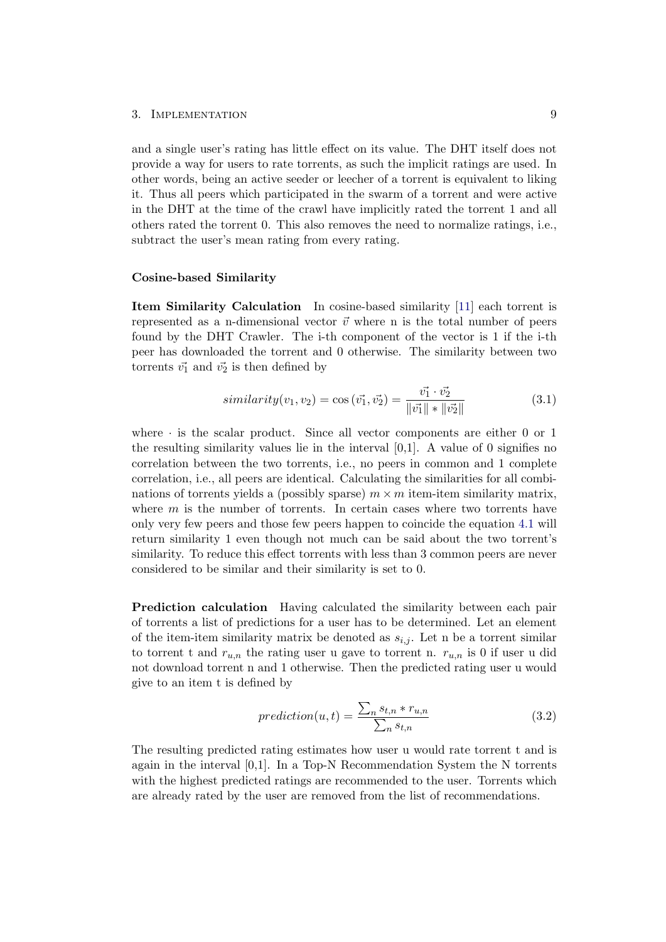#### 3. IMPLEMENTATION 9

and a single user's rating has little effect on its value. The DHT itself does not provide a way for users to rate torrents, as such the implicit ratings are used. In other words, being an active seeder or leecher of a torrent is equivalent to liking it. Thus all peers which participated in the swarm of a torrent and were active in the DHT at the time of the crawl have implicitly rated the torrent 1 and all others rated the torrent 0. This also removes the need to normalize ratings, i.e., subtract the user's mean rating from every rating.

#### Cosine-based Similarity

Item Similarity Calculation In cosine-based similarity [\[11\]](#page-16-11) each torrent is represented as a n-dimensional vector  $\vec{v}$  where n is the total number of peers found by the DHT Crawler. The i-th component of the vector is 1 if the i-th peer has downloaded the torrent and 0 otherwise. The similarity between two torrents  $\vec{v_1}$  and  $\vec{v_2}$  is then defined by

$$
similarity(v_1, v_2) = \cos(\vec{v_1}, \vec{v_2}) = \frac{\vec{v_1} \cdot \vec{v_2}}{\|\vec{v_1}\| \cdot \|\vec{v_2}\|}
$$
(3.1)

where  $\cdot$  is the scalar product. Since all vector components are either 0 or 1 the resulting similarity values lie in the interval  $[0,1]$ . A value of 0 signifies no correlation between the two torrents, i.e., no peers in common and 1 complete correlation, i.e., all peers are identical. Calculating the similarities for all combinations of torrents yields a (possibly sparse)  $m \times m$  item-item similarity matrix, where  $m$  is the number of torrents. In certain cases where two torrents have only very few peers and those few peers happen to coincide the equation [4.1](#page-14-0) will return similarity 1 even though not much can be said about the two torrent's similarity. To reduce this effect torrents with less than 3 common peers are never considered to be similar and their similarity is set to 0.

Prediction calculation Having calculated the similarity between each pair of torrents a list of predictions for a user has to be determined. Let an element of the item-item similarity matrix be denoted as  $s_{i,j}$ . Let n be a torrent similar to torrent t and  $r_{u,n}$  the rating user u gave to torrent n.  $r_{u,n}$  is 0 if user u did not download torrent n and 1 otherwise. Then the predicted rating user u would give to an item t is defined by

$$
prediction(u,t) = \frac{\sum_{n} s_{t,n} * r_{u,n}}{\sum_{n} s_{t,n}}
$$
\n(3.2)

The resulting predicted rating estimates how user u would rate torrent t and is again in the interval [0,1]. In a Top-N Recommendation System the N torrents with the highest predicted ratings are recommended to the user. Torrents which are already rated by the user are removed from the list of recommendations.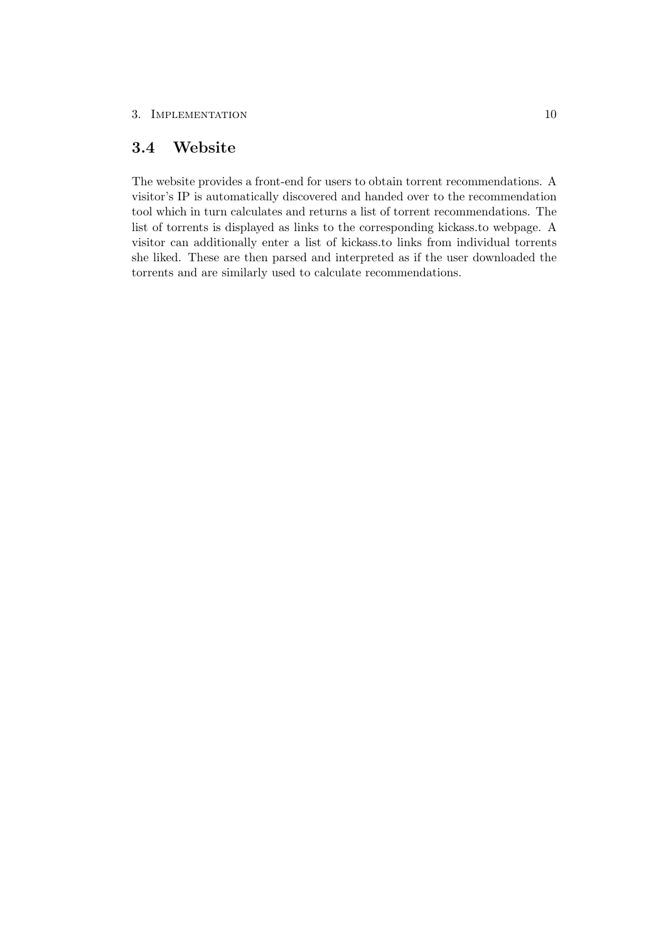## <span id="page-12-0"></span>3.4 Website

The website provides a front-end for users to obtain torrent recommendations. A visitor's IP is automatically discovered and handed over to the recommendation tool which in turn calculates and returns a list of torrent recommendations. The list of torrents is displayed as links to the corresponding kickass.to webpage. A visitor can additionally enter a list of kickass.to links from individual torrents she liked. These are then parsed and interpreted as if the user downloaded the torrents and are similarly used to calculate recommendations.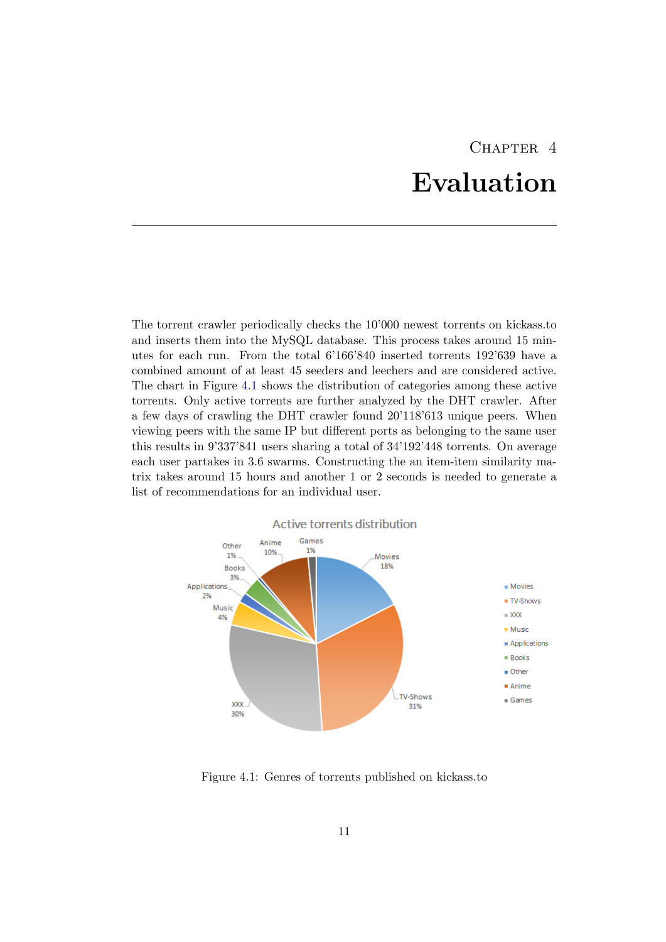# CHAPTER<sub>4</sub> Evaluation

<span id="page-13-0"></span>The torrent crawler periodically checks the 10'000 newest torrents on kickass.to and inserts them into the MySQL database. This process takes around 15 minutes for each run. From the total 6'166'840 inserted torrents 192'639 have a combined amount of at least 45 seeders and leechers and are considered active. The chart in Figure [4.1](#page-13-1) shows the distribution of categories among these active torrents. Only active torrents are further analyzed by the DHT crawler. After a few days of crawling the DHT crawler found 20'118'613 unique peers. When viewing peers with the same IP but different ports as belonging to the same user this results in 9'337'841 users sharing a total of 34'192'448 torrents. On average each user partakes in 3.6 swarms. Constructing the an item-item similarity matrix takes around 15 hours and another 1 or 2 seconds is needed to generate a list of recommendations for an individual user.



<span id="page-13-1"></span>Figure 4.1: Genres of torrents published on kickass.to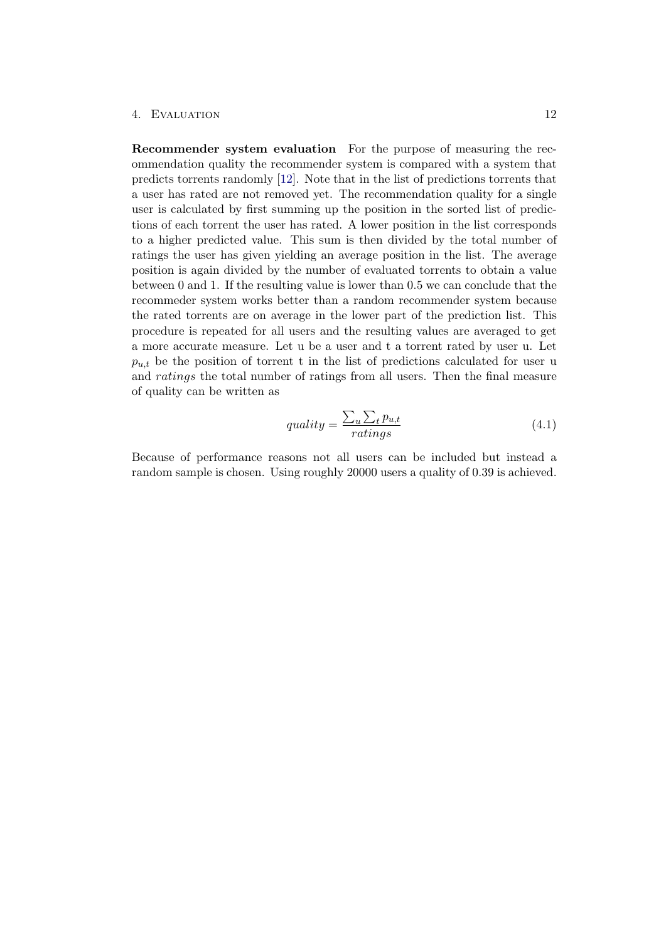#### 4. Evaluation 12

Recommender system evaluation For the purpose of measuring the recommendation quality the recommender system is compared with a system that predicts torrents randomly [\[12\]](#page-16-12). Note that in the list of predictions torrents that a user has rated are not removed yet. The recommendation quality for a single user is calculated by first summing up the position in the sorted list of predictions of each torrent the user has rated. A lower position in the list corresponds to a higher predicted value. This sum is then divided by the total number of ratings the user has given yielding an average position in the list. The average position is again divided by the number of evaluated torrents to obtain a value between 0 and 1. If the resulting value is lower than 0.5 we can conclude that the recommeder system works better than a random recommender system because the rated torrents are on average in the lower part of the prediction list. This procedure is repeated for all users and the resulting values are averaged to get a more accurate measure. Let u be a user and t a torrent rated by user u. Let  $p_{u,t}$  be the position of torrent t in the list of predictions calculated for user u and ratings the total number of ratings from all users. Then the final measure of quality can be written as

<span id="page-14-0"></span>
$$
quality = \frac{\sum_{u} \sum_{t} p_{u,t}}{ratings} \tag{4.1}
$$

Because of performance reasons not all users can be included but instead a random sample is chosen. Using roughly 20000 users a quality of 0.39 is achieved.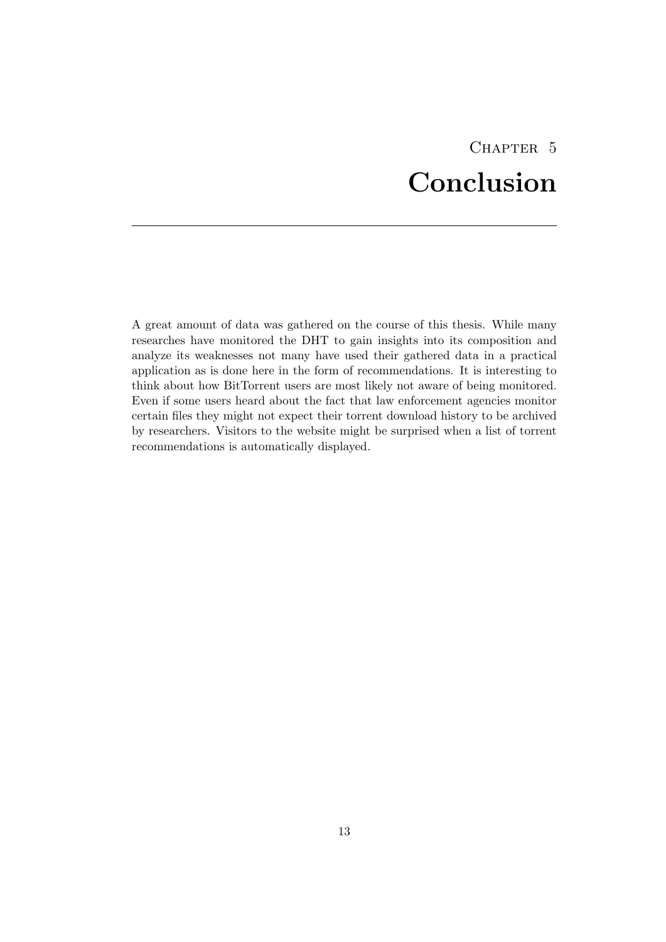# CHAPTER<sub>5</sub> Conclusion

<span id="page-15-0"></span>A great amount of data was gathered on the course of this thesis. While many researches have monitored the DHT to gain insights into its composition and analyze its weaknesses not many have used their gathered data in a practical application as is done here in the form of recommendations. It is interesting to think about how BitTorrent users are most likely not aware of being monitored. Even if some users heard about the fact that law enforcement agencies monitor certain files they might not expect their torrent download history to be archived by researchers. Visitors to the website might be surprised when a list of torrent recommendations is automatically displayed.